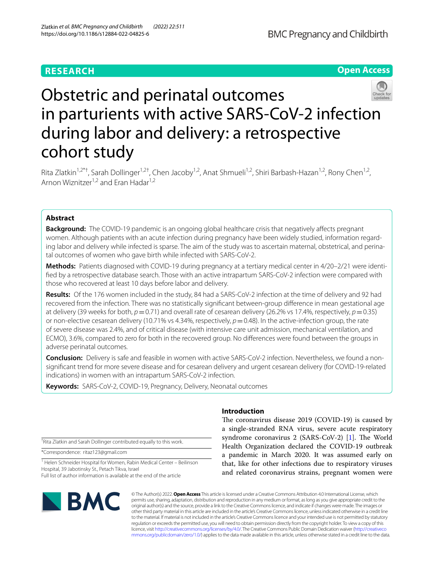## **RESEARCH**





# Obstetric and perinatal outcomes in parturients with active SARS-CoV-2 infection during labor and delivery: a retrospective cohort study

Rita Zlatkin<sup>1,2\*†</sup>, Sarah Dollinger<sup>1,2†</sup>, Chen Jacoby<sup>1,2</sup>, Anat Shmueli<sup>1,2</sup>, Shiri Barbash-Hazan<sup>1,2</sup>, Rony Chen<sup>1,2</sup>, Arnon Wiznitzer<sup>1,2</sup> and Fran Hadar<sup>1,2</sup>

### **Abstract**

**Background:** The COVID-19 pandemic is an ongoing global healthcare crisis that negatively affects pregnant women. Although patients with an acute infection during pregnancy have been widely studied, information regarding labor and delivery while infected is sparse. The aim of the study was to ascertain maternal, obstetrical, and perinatal outcomes of women who gave birth while infected with SARS-CoV-2.

Methods: Patients diagnosed with COVID-19 during pregnancy at a tertiary medical center in 4/20–2/21 were identifed by a retrospective database search. Those with an active intrapartum SARS-CoV-2 infection were compared with those who recovered at least 10 days before labor and delivery.

**Results:** Of the 176 women included in the study, 84 had a SARS-CoV-2 infection at the time of delivery and 92 had recovered from the infection. There was no statistically signifcant between-group diference in mean gestational age at delivery (39 weeks for both, *p*=0.71) and overall rate of cesarean delivery (26.2% vs 17.4%, respectively, *p*=0.35) or non-elective cesarean delivery (10.71% vs 4.34%, respectively, *p*=0.48). In the active-infection group, the rate of severe disease was 2.4%, and of critical disease (with intensive care unit admission, mechanical ventilation, and ECMO), 3.6%, compared to zero for both in the recovered group. No diferences were found between the groups in adverse perinatal outcomes.

**Conclusion:** Delivery is safe and feasible in women with active SARS-CoV-2 infection. Nevertheless, we found a nonsignifcant trend for more severe disease and for cesarean delivery and urgent cesarean delivery (for COVID-19-related indications) in women with an intrapartum SARS-CoV-2 infection.

**Keywords:** SARS-CoV-2, COVID-19, Pregnancy, Delivery, Neonatal outcomes

† Rita Zlatkin and Sarah Dollinger contributed equally to this work.

\*Correspondence: ritaz123@gmail.com

<sup>1</sup> Helen Schneider Hospital for Women, Rabin Medical Center - Beilinson Hospital, 39 Jabotinsky St., Petach Tikva, Israel Full list of author information is available at the end of the article

# **BMC**

#### **Introduction**

The coronavirus disease 2019 (COVID-19) is caused by a single-stranded RNA virus, severe acute respiratory syndrome coronavirus 2 (SARS-CoV-2)  $[1]$  $[1]$ . The World Health Organization declared the COVID-19 outbreak a pandemic in March 2020. It was assumed early on that, like for other infections due to respiratory viruses and related coronavirus strains, pregnant women were

© The Author(s) 2022. **Open Access** This article is licensed under a Creative Commons Attribution 4.0 International License, which permits use, sharing, adaptation, distribution and reproduction in any medium or format, as long as you give appropriate credit to the original author(s) and the source, provide a link to the Creative Commons licence, and indicate if changes were made. The images or other third party material in this article are included in the article's Creative Commons licence, unless indicated otherwise in a credit line to the material. If material is not included in the article's Creative Commons licence and your intended use is not permitted by statutory regulation or exceeds the permitted use, you will need to obtain permission directly from the copyright holder. To view a copy of this licence, visit [http://creativecommons.org/licenses/by/4.0/.](http://creativecommons.org/licenses/by/4.0/) The Creative Commons Public Domain Dedication waiver ([http://creativeco](http://creativecommons.org/publicdomain/zero/1.0/) [mmons.org/publicdomain/zero/1.0/](http://creativecommons.org/publicdomain/zero/1.0/)) applies to the data made available in this article, unless otherwise stated in a credit line to the data.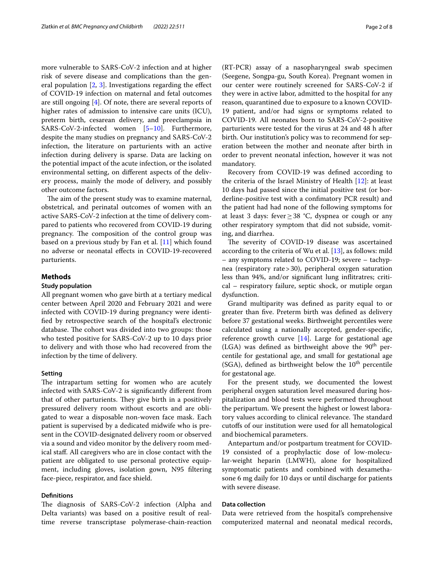more vulnerable to SARS-CoV-2 infection and at higher risk of severe disease and complications than the general population [[2,](#page-7-1) [3](#page-7-2)]. Investigations regarding the efect of COVID-19 infection on maternal and fetal outcomes are still ongoing [\[4](#page-7-3)]. Of note, there are several reports of higher rates of admission to intensive care units (ICU), preterm birth, cesarean delivery, and preeclampsia in SARS-CoV-2-infected women [[5–](#page-7-4)[10\]](#page-7-5). Furthermore, despite the many studies on pregnancy and SARS-CoV-2 infection, the literature on parturients with an active infection during delivery is sparse. Data are lacking on the potential impact of the acute infection, or the isolated environmental setting, on diferent aspects of the delivery process, mainly the mode of delivery, and possibly other outcome factors.

The aim of the present study was to examine maternal, obstetrical, and perinatal outcomes of women with an active SARS-CoV-2 infection at the time of delivery compared to patients who recovered from COVID-19 during pregnancy. The composition of the control group was based on a previous study by Fan et al. [[11\]](#page-7-6) which found no adverse or neonatal efects in COVID-19-recovered parturients.

#### **Methods**

#### **Study population**

All pregnant women who gave birth at a tertiary medical center between April 2020 and February 2021 and were infected with COVID-19 during pregnancy were identifed by retrospective search of the hospital's electronic database. The cohort was divided into two groups: those who tested positive for SARS-CoV-2 up to 10 days prior to delivery and with those who had recovered from the infection by the time of delivery.

#### **Setting**

The intrapartum setting for women who are acutely infected with SARS-CoV-2 is signifcantly diferent from that of other parturients. They give birth in a positively pressured delivery room without escorts and are obligated to wear a disposable non-woven face mask. Each patient is supervised by a dedicated midwife who is present in the COVID-designated delivery room or observed via a sound and video monitor by the delivery room medical staf. All caregivers who are in close contact with the patient are obligated to use personal protective equipment, including gloves, isolation gown, N95 fltering face-piece, respirator, and face shield.

#### **Defnitions**

The diagnosis of SARS-CoV-2 infection (Alpha and Delta variants) was based on a positive result of realtime reverse transcriptase polymerase-chain-reaction

(RT-PCR) assay of a nasopharyngeal swab specimen (Seegene, Songpa-gu, South Korea). Pregnant women in our center were routinely screened for SARS-CoV-2 if they were in active labor, admitted to the hospital for any reason, quarantined due to exposure to a known COVID-19 patient, and/or had signs or symptoms related to COVID-19. All neonates born to SARS-CoV-2-positive parturients were tested for the virus at 24 and 48 h after birth. Our institution's policy was to recommend for seperation between the mother and neonate after birth in order to prevent neonatal infection, however it was not mandatory.

Recovery from COVID-19 was defned according to the criteria of the Israel Ministry of Health [[12](#page-7-7)]: at least 10 days had passed since the initial positive test (or borderline-positive test with a confmatory PCR result) and the patient had had none of the following symptoms for at least 3 days: fever≥38 °C, dyspnea or cough or any other respiratory symptom that did not subside, vomiting, and diarrhea.

The severity of COVID-19 disease was ascertained according to the criteria of Wu et al. [[13\]](#page-7-8), as follows: mild – any symptoms related to COVID-19; severe – tachypnea (respiratory rate>30), peripheral oxygen saturation less than 94%, and/or signifcant lung infitratres; critical – respiratory failure, septic shock, or mutiple organ dysfunction.

Grand multiparity was defned as parity equal to or greater than fve. Preterm birth was defned as delivery before 37 gestational weeks. Birthweight percentiles were calculated using a nationally accepted, gender-specifc, reference growth curve  $[14]$ . Large for gestational age (LGA) was defined as birthweight above the  $90<sup>th</sup>$  percentile for gestational age, and small for gestational age (SGA), defined as birthweight below the  $10<sup>th</sup>$  percentile for gestatonal age.

For the present study, we documented the lowest peripheral oxygen saturation level measured during hospitalization and blood tests were performed throughout the peripartum. We present the highest or lowest laboratory values according to clinical relevance. The standard cutofs of our institution were used for all hematological and biochemical parameters.

Antepartum and/or postpartum treatment for COVID-19 consisted of a prophylactic dose of low-molecular-weight heparin (LMWH), alone for hospitalized symptomatic patients and combined with dexamethasone 6 mg daily for 10 days or until discharge for patients with severe disease.

#### **Data collection**

Data were retrieved from the hospital's comprehensive computerized maternal and neonatal medical records,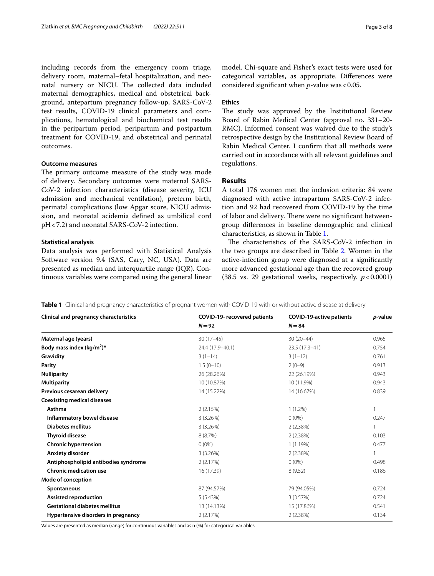including records from the emergency room triage, delivery room, maternal–fetal hospitalization, and neonatal nursery or NICU. The collected data included maternal demographics, medical and obstetrical background, antepartum pregnancy follow-up, SARS-CoV-2 test results, COVID-19 clinical parameters and complications, hematological and biochemical test results in the peripartum period, peripartum and postpartum treatment for COVID-19, and obstetrical and perinatal outcomes.

#### **Outcome measures**

The primary outcome measure of the study was mode of delivery. Secondary outcomes were maternal SARS-CoV-2 infection characteristics (disease severity, ICU admission and mechanical ventilation), preterm birth, perinatal complications (low Apgar score, NICU admission, and neonatal acidemia defned as umbilical cord pH<7.2) and neonatal SARS-CoV-2 infection.

#### **Statistical analysis**

Data analysis was performed with Statistical Analysis Software version 9.4 (SAS, Cary, NC, USA). Data are presented as median and interquartile range (IQR). Continuous variables were compared using the general linear

model. Chi-square and Fisher's exact tests were used for categorical variables, as appropriate. Diferences were considered significant when *p*-value was < 0.05.

#### **Ethics**

The study was approved by the Institutional Review Board of Rabin Medical Center (approval no. 331–20- RMC). Informed consent was waived due to the study's retrospective design by the Institutional Review Board of Rabin Medical Center. I confrm that all methods were carried out in accordance with all relevant guidelines and regulations.

#### **Results**

A total 176 women met the inclusion criteria: 84 were diagnosed with active intrapartum SARS-CoV-2 infection and 92 had recovered from COVID-19 by the time of labor and delivery. There were no significant betweengroup diferences in baseline demographic and clinical characteristics, as shown in Table [1](#page-2-0).

The characteristics of the SARS-CoV-2 infection in the two groups are described in Table [2](#page-3-0). Women in the active-infection group were diagnosed at a signifcantly more advanced gestational age than the recovered group (38.5 vs. 29 gestational weeks, respectively.  $p < 0.0001$ )

<span id="page-2-0"></span>**Table 1** Clinical and pregnancy characteristics of pregnant women with COVID-19 with or without active disease at delivery

| <b>Clinical and pregnancy characteristics</b> | COVID-19- recovered patients | <b>COVID-19-active patients</b> | p-value |
|-----------------------------------------------|------------------------------|---------------------------------|---------|
|                                               | $N = 92$                     | $N = 84$                        |         |
| Maternal age (years)                          | $30(17-45)$                  | $30(20-44)$                     | 0.965   |
| Body mass index (kg/m <sup>2</sup> )*         | 24.4 (17.9-40.1)             | 23.5 (17.3-41)                  | 0.754   |
| Gravidity                                     | $3(1-14)$                    | $3(1-12)$                       | 0.761   |
| Parity                                        | $1.5(0-10)$                  | $2(0-9)$                        | 0.913   |
| <b>Nulliparity</b>                            | 26 (28.26%)                  | 22 (26.19%)                     | 0.943   |
| <b>Multiparity</b>                            | 10 (10.87%)                  | 10 (11.9%)                      | 0.943   |
| Previous cesarean delivery                    | 14 (15.22%)                  | 14 (16.67%)                     | 0.839   |
| <b>Coexisting medical diseases</b>            |                              |                                 |         |
| Asthma                                        | 2(2.15%)                     | $1(1.2\%)$                      | 1       |
| Inflammatory bowel disease                    | 3(3.26%)                     | $0(0\%)$                        | 0.247   |
| <b>Diabetes mellitus</b>                      | 3(3.26%)                     | 2(2.38%)                        |         |
| <b>Thyroid disease</b>                        | 8(8.7%)                      | 2(2.38%)                        | 0.103   |
| <b>Chronic hypertension</b>                   | $0(0\%)$                     | 1(1.19%)                        | 0.477   |
| Anxiety disorder                              | 3(3.26%)                     | 2(2.38%)                        | 1.      |
| Antiphospholipid antibodies syndrome          | 2(2.17%)                     | $0(0\%)$                        | 0.498   |
| <b>Chronic medication use</b>                 | 16 (17.39)                   | 8(9.52)                         | 0.186   |
| Mode of conception                            |                              |                                 |         |
| Spontaneous                                   | 87 (94.57%)                  | 79 (94.05%)                     | 0.724   |
| <b>Assisted reproduction</b>                  | 5(5.43%)                     | 3(3.57%)                        | 0.724   |
| <b>Gestational diabetes mellitus</b>          | 13 (14.13%)                  | 15 (17.86%)                     | 0.541   |
| Hypertensive disorders in pregnancy           | 2(2.17%)                     | 2(2.38%)                        | 0.134   |

Values are presented as median (range) for continuous variables and as n (%) for categorical variables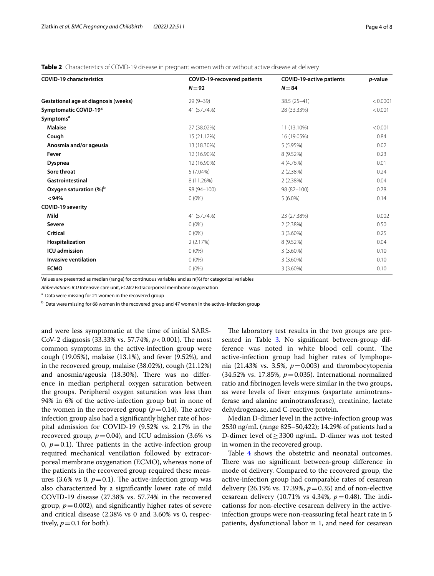<span id="page-3-0"></span>**Table 2** Characteristics of COVID-19 disease in pregnant women with or without active disease at delivery

| <b>COVID-19 characteristics</b>      | <b>COVID-19-recovered patients</b> | <b>COVID-19-active patients</b> | <i>p</i> -value |
|--------------------------------------|------------------------------------|---------------------------------|-----------------|
|                                      | $N = 92$                           | $N = 84$                        |                 |
| Gestational age at diagnosis (weeks) | $29(9 - 39)$                       | $38.5(25-41)$                   | < 0.0001        |
| Symptomatic COVID-19*                | 41 (57.74%)                        | 28 (33.33%)                     | < 0.001         |
| Symptoms <sup>a</sup>                |                                    |                                 |                 |
| <b>Malaise</b>                       | 27 (38.02%)                        | 11 (13.10%)                     | < 0.001         |
| Cough                                | 15 (21.12%)                        | 16 (19.05%)                     | 0.84            |
| Anosmia and/or ageusia               | 13 (18.30%)                        | 5(5.95%)                        | 0.02            |
| Fever                                | 12 (16.90%)                        | 8 (9.52%)                       | 0.23            |
| <b>Dyspnea</b>                       | 12 (16.90%)                        | 4 (4.76%)                       | 0.01            |
| Sore throat                          | 5 (7.04%)                          | 2(2.38%)                        | 0.24            |
| Gastrointestinal                     | 8 (11.26%)                         | 2(2.38%)                        | 0.04            |
| Oxygen saturation (%) <sup>b</sup>   | 98 (94-100)                        | 98 (82-100)                     | 0.78            |
| < 94%                                | $0(0\%)$                           | $5(6.0\%)$                      | 0.14            |
| <b>COVID-19 severity</b>             |                                    |                                 |                 |
| Mild                                 | 41 (57.74%)                        | 23 (27.38%)                     | 0.002           |
| <b>Severe</b>                        | $0(0\%)$                           | 2(2.38%)                        | 0.50            |
| <b>Critical</b>                      | $0(0\%)$                           | $3(3.60\%)$                     | 0.25            |
| Hospitalization                      | 2(2.17%)                           | 8 (9.52%)                       | 0.04            |
| <b>ICU</b> admission                 | $0(0\%)$                           | $3(3.60\%)$                     | 0.10            |
| <b>Invasive ventilation</b>          | $0(0\%)$                           | $3(3.60\%)$                     | 0.10            |
| <b>ECMO</b>                          | $0(0\%)$                           | $3(3.60\%)$                     | 0.10            |

Values are presented as median (range) for continuous variables and as n(%) for categorical variables

*Abbreviations*: *ICU* Intensive care unit, *ECMO* Extracorporeal membrane oxygenation

<sup>a</sup> Data were missing for 21 women in the recovered group

<sup>b</sup> Data were missing for 68 women in the recovered group and 47 women in the active- infection group

and were less symptomatic at the time of initial SARS-CoV-2 diagnosis (33.33% vs. 57.74%,  $p < 0.001$ ). The most common symptoms in the active-infection group were cough (19.05%), malaise (13.1%), and fever (9.52%), and in the recovered group, malaise (38.02%), cough (21.12%) and anosmia/ageusia (18.30%). There was no difference in median peripheral oxygen saturation between the groups. Peripheral oxygen saturation was less than 94% in 6% of the active-infection group but in none of the women in the recovered group  $(p=0.14)$ . The active infection group also had a signifcantly higher rate of hospital admission for COVID-19 (9.52% vs. 2.17% in the recovered group,  $p=0.04$ ), and ICU admission (3.6% vs 0,  $p = 0.1$ ). Three patients in the active-infection group required mechanical ventilation followed by extracorporeal membrane oxygenation (ECMO), whereas none of the patients in the recovered group required these measures (3.6% vs 0,  $p=0.1$ ). The active-infection group was also characterized by a signifcantly lower rate of mild COVID-19 disease (27.38% vs. 57.74% in the recovered group,  $p = 0.002$ ), and significantly higher rates of severe and critical disease (2.38% vs 0 and 3.60% vs 0, respectively,  $p = 0.1$  for both).

The laboratory test results in the two groups are pre-sented in Table [3.](#page-4-0) No significant between-group difference was noted in white blood cell count. The active-infection group had higher rates of lymphopenia (21.43% vs. 3.5%,  $p=0.003$ ) and thrombocytopenia (34.52% vs. 17.85%, *p*=0.035). International normalized ratio and fbrinogen levels were similar in the two groups, as were levels of liver enzymes (aspartate aminotransferase and alanine aminotransferase), creatinine, lactate dehydrogenase, and C-reactive protein.

Median D-dimer level in the active-infection group was 2530 ng/mL (range 825–50,422); 14.29% of patients had a D-dimer level of≥3300 ng/mL. D-dimer was not tested in women in the recovered group.

Table [4](#page-5-0) shows the obstetric and neonatal outcomes. There was no significant between-group difference in mode of delivery. Compared to the recovered group, the active-infection group had comparable rates of cesarean delivery (26.19% vs. 17.39%, *p*=0.35) and of non-elective cesarean delivery (10.71% vs 4.34%,  $p = 0.48$ ). The indicationss for non-elective cesarean delivery in the activeinfection groups were non-reassuring fetal heart rate in 5 patients, dysfunctional labor in 1, and need for cesarean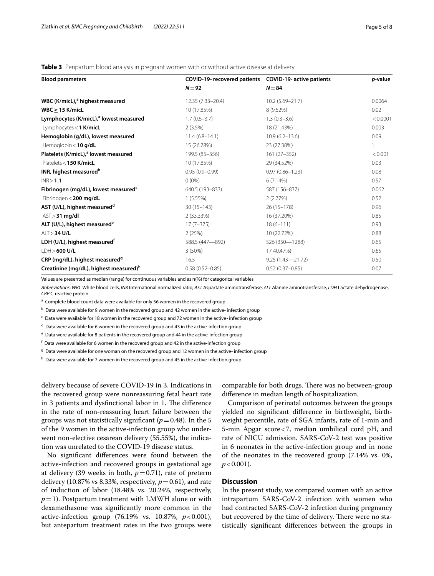<span id="page-4-0"></span>

| <b>Table 3</b> Peripartum blood analysis in pregnant women with or without active disease at delivery |
|-------------------------------------------------------------------------------------------------------|
|-------------------------------------------------------------------------------------------------------|

| <b>Blood parameters</b>                            | COVID-19- recovered patients | <b>COVID-19- active patients</b><br>$N = 84$ | <i>p</i> -value |
|----------------------------------------------------|------------------------------|----------------------------------------------|-----------------|
|                                                    | $N = 92$                     |                                              |                 |
| WBC (K/micL), <sup>a</sup> highest measured        | 12.35 (7.33-20.4)            | $10.2(5.69 - 21.7)$                          | 0.0064          |
| $WBC \geq 15$ K/micL                               | 10 (17.85%)                  | 8 (9.52%)                                    | 0.02            |
| Lymphocytes (K/micL), <sup>a</sup> lowest measured | $1.7(0.6 - 3.7)$             | $1.3(0.3 - 3.6)$                             | < 0.0001        |
| Lymphocytes < 1 K/micL                             | $2(3.5\%)$                   | 18 (21.43%)                                  | 0.003           |
| Hemoglobin (g/dL), lowest measured                 | $11.4(6.8 - 14.1)$           | $10.9(6.2 - 13.6)$                           | 0.09            |
| Hemoglobin < $10$ g/dL                             | 15 (26.78%)                  | 23 (27.38%)                                  |                 |
| Platelets (K/micL), <sup>a</sup> lowest measured   | 199.5 (85-356)               | $161(27 - 352)$                              | < 0.001         |
| Platelets < 150 K/micL                             | 10 (17.85%)                  | 29 (34.52%)                                  | 0.03            |
| INR, highest measured <sup>b</sup>                 | $0.95(0.9 - 0.99)$           | $0.97(0.86 - 1.23)$                          | 0.08            |
| INR > 1.1                                          | $0(0\%)$                     | 6(7.14%)                                     | 0.57            |
| Fibrinogen (mg/dL), lowest measured <sup>c</sup>   | 640.5 (193-833)              | 587 (156-837)                                | 0.062           |
| Fibrinogen < 200 mg/dL                             | 1(5.55%)                     | 2(2.77%)                                     | 0.52            |
| AST (U/L), highest measured <sup>d</sup>           | $30(15 - 143)$               | $26(15 - 178)$                               | 0.96            |
| AST > 31 mg/dl                                     | $2(33.33\%)$                 | 16 (37.20%)                                  | 0.85            |
| ALT (U/L), highest measured <sup>e</sup>           | $17(7-375)$                  | $18(6 - 111)$                                | 0.93            |
| ALT > 34 U/L                                       | 2(25%)                       | 10 (22.72%)                                  | 0.88            |
| LDH (U/L), highest measured <sup>t</sup>           | 588.5 (447-892)              | 526 (350-1288)                               | 0.65            |
| $LDH > 600$ U/L                                    | $3(50\%)$                    | 17 40.47%)                                   | 0.65            |
| CRP (mg/dL), highest measured <sup>9</sup>         | 16.5                         | $9.25(1.43 - 21.72)$                         | 0.50            |
| Creatinine (mg/dL), highest measured) <sup>h</sup> | $0.58(0.52 - 0.85)$          | $0.52(0.37 - 0.85)$                          | 0.07            |

Values are presented as median (range) for continuous variables and as n(%) for categorical variables

*Abbreviations*: *WBC* White blood cells, *INR* International normalized ratio, *AST* Aspartate aminotransferase, *ALT* Alanine aminotransferase, *LDH* Lactate dehydrogenase, *CRP* C-reactive protein

<sup>a</sup> Complete blood count data were available for only 56 women in the recovered group

 $^{\rm b}$  Data were available for 9 women in the recovered group and 42 women in the active- infection group

 $\rm ^c$  Data were available for 18 women in the recovered group and 72 women in the active- infection group

<sup>d</sup> Data were available for 6 women in the recovered group and 43 in the active-infection group

<sup>e</sup> Data were available for 8 patients in the recovered group and 44 in the active-infection group

 $^{\mathsf{f}}$  Data were available for 6 women in the recovered group and 42 in the active-infection group

<sup>g</sup> Data were available for one woman on the recovered group and 12 women in the active- infection group

<sup>h</sup> Data were available for 7 women in the recovered group and 45 in the active-infection group

delivery because of severe COVID-19 in 3. Indications in the recovered group were nonreassuring fetal heart rate in 3 patients and dysfinctional labor in 1. The difference in the rate of non-reassuring heart failure between the groups was not statistically significant  $(p=0.48)$ . In the 5 of the 9 women in the active-infection group who underwent non-elective cesarean delivery (55.55%), the indication was unrelated to the COVID-19 disease status.

No signifcant diferences were found between the active-infection and recovered groups in gestational age at delivery (39 weeks in both,  $p=0.71$ ), rate of preterm delivery (10.87% vs 8.33%, respectively,  $p=0.61$ ), and rate of induction of labor (18.48% vs. 20.24%, respectively,  $p=1$ ). Postpartum treatment with LMWH alone or with dexamethasone was signifcantly more common in the active-infection group (76.19% vs. 10.87%, *p*<0.001), but antepartum treatment rates in the two groups were

comparable for both drugs. There was no between-group diference in median length of hospitalization.

Comparison of perinatal outcomes between the groups yielded no signifcant diference in birthweight, birthweight percentile, rate of SGA infants, rate of 1-min and 5-min Apgar score<7, median umbilical cord pH, and rate of NICU admission. SARS-CoV-2 test was positive in 6 neonates in the active-infection group and in none of the neonates in the recovered group (7.14% vs. 0%,  $p < 0.001$ ).

#### **Discussion**

In the present study, we compared women with an active intrapartum SARS-CoV-2 infection with women who had contracted SARS-CoV-2 infection during pregnancy but recovered by the time of delivery. There were no statistically signifcant diferences between the groups in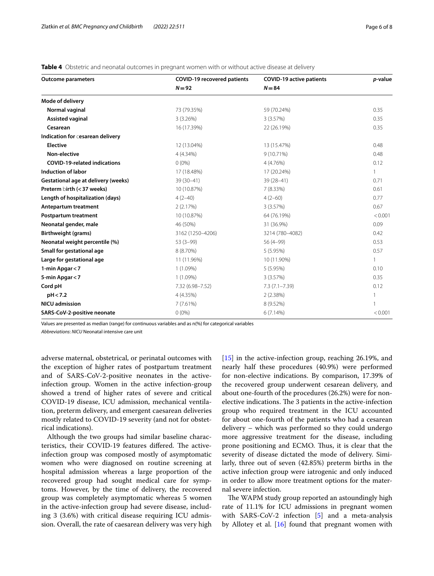| <b>Outcome parameters</b>                  | <b>COVID-19 recovered patients</b> | <b>COVID-19 active patients</b> | p-value |
|--------------------------------------------|------------------------------------|---------------------------------|---------|
|                                            | $N = 92$                           | $N = 84$                        |         |
| Mode of delivery                           |                                    |                                 |         |
| Normal vaginal                             | 73 (79.35%)                        | 59 (70.24%)                     | 0.35    |
| <b>Assisted vaginal</b>                    | 3(3.26%)                           | 3 (3.57%)                       | 0.35    |
| Cesarean                                   | 16 (17.39%)                        | 22 (26.19%)                     | 0.35    |
| Indication for cesarean delivery           |                                    |                                 |         |
| <b>Elective</b>                            | 12 (13.04%)                        | 13 (15.47%)                     | 0.48    |
| Non-elective                               | 4 (4.34%)                          | $9(10.71\%)$                    | 0.48    |
| <b>COVID-19-related indications</b>        | $0(0\%)$                           | 4 (4.76%)                       | 0.12    |
| <b>Induction of labor</b>                  | 17 (18.48%)                        | 17 (20.24%)                     |         |
| <b>Gestational age at delivery (weeks)</b> | 39 (30-41)                         | $39(28 - 41)$                   | 0.71    |
| Preterm birth (< 37 weeks)                 | 10 (10.87%)                        | 7(8.33%)                        | 0.61    |
| Length of hospitalization (days)           | $4(2-40)$                          | $4(2-60)$                       | 0.77    |
| Antepartum treatment                       | 2(2.17%)                           | 3(3.57%)                        | 0.67    |
| Postpartum treatment                       | 10 (10.87%)                        | 64 (76.19%)                     | < 0.001 |
| Neonatal gender, male                      | 46 (50%)                           | 31 (36.9%)                      | 0.09    |
| Birthweight (grams)                        | 3162 (1250-4206)                   | 3214 (780-4082)                 | 0.42    |
| Neonatal weight percentile (%)             | $53(3-99)$                         | 56 (4-99)                       | 0.53    |
| Small for gestational age                  | 8 (8.70%)                          | 5 (5.95%)                       | 0.57    |
| Large for gestational age                  | 11 (11.96%)                        | 10 (11.90%)                     | 1       |
| 1-min Apgar < 7                            | 1 (1.09%)                          | 5 (5.95%)                       | 0.10    |
| 5-min Apgar < 7                            | $1(1.09\%)$                        | 3 (3.57%)                       | 0.35    |
| Cord pH                                    | 7.32 (6.98-7.52)                   | $7.3(7.1 - 7.39)$               | 0.12    |
| pH < 7.2                                   | 4 (4.35%)                          | 2(2.38%)                        |         |
| <b>NICU</b> admission                      | 7(7.61%)                           | 8 (9.52%)                       |         |
| SARS-CoV-2-positive neonate                | $0(0\%)$                           | 6(7.14%)                        | < 0.001 |

<span id="page-5-0"></span>**Table 4** Obstetric and neonatal outcomes in pregnant women with or without active disease at delivery

Values are presented as median (range) for continuous variables and as n(%) for categorical variables

*Abbreviations*: *NICU* Neonatal intensive care unit

adverse maternal, obstetrical, or perinatal outcomes with the exception of higher rates of postpartum treatment and of SARS-CoV-2-positive neonates in the activeinfection group. Women in the active infection-group showed a trend of higher rates of severe and critical COVID-19 disease, ICU admission, mechanical ventilation, preterm delivery, and emergent caesarean deliveries mostly related to COVID-19 severity (and not for obstetrical indications).

Although the two groups had similar baseline characteristics, their COVID-19 features differed. The activeinfection group was composed mostly of asymptomatic women who were diagnosed on routine screening at hospital admission whereas a large proportion of the recovered group had sought medical care for symptoms. However, by the time of delivery, the recovered group was completely asymptomatic whereas 5 women in the active-infection group had severe disease, including 3 (3.6%) with critical disease requiring ICU admission. Overall, the rate of caesarean delivery was very high [[15\]](#page-7-10) in the active-infection group, reaching 26.19%, and nearly half these procedures (40.9%) were performed for non-elective indications. By comparison, 17.39% of the recovered group underwent cesarean delivery, and about one-fourth of the procedures (26.2%) were for nonelective indications. The 3 patients in the active-infection group who required treatment in the ICU accounted for about one-fourth of the patients who had a cesarean delivery – which was performed so they could undergo more aggressive treatment for the disease, including prone positioning and ECMO. Thus, it is clear that the severity of disease dictated the mode of delivery. Similarly, three out of seven (42.85%) preterm births in the active infection group were iatrogenic and only induced in order to allow more treatment options for the maternal severe infection.

The WAPM study group reported an astoundingly high rate of 11.1% for ICU admissions in pregnant women with SARS-CoV-2 infection [\[5](#page-7-4)] and a meta-analysis by Allotey et al. [\[16\]](#page-7-11) found that pregnant women with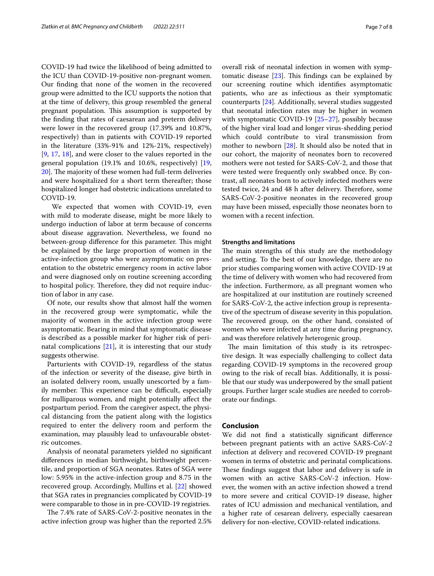COVID-19 had twice the likelihood of being admitted to the ICU than COVID-19-positive non-pregnant women. Our fnding that none of the women in the recovered group were admitted to the ICU supports the notion that at the time of delivery, this group resembled the general pregnant population. This assumption is supported by the fnding that rates of caesarean and preterm delivery were lower in the recovered group (17.39% and 10.87%, respectively) than in patients with COVID-19 reported in the literature (33%-91% and 12%-21%, respectively) [[9,](#page-7-12) [17,](#page-7-13) [18](#page-7-14)], and were closer to the values reported in the general population (19.1% and 10.6%, respectively) [\[19](#page-7-15), [20\]](#page-7-16). The majority of these women had full-term deliveries and were hospitalized for a short term thereafter; those hospitalized longer had obstetric indications unrelated to COVID-19.

 We expected that women with COVID-19, even with mild to moderate disease, might be more likely to undergo induction of labor at term because of concerns about disease aggravation. Nevertheless, we found no between-group difference for this parameter. This might be explained by the large proportion of women in the active-infection group who were asymptomatic on presentation to the obstetric emergency room in active labor and were diagnosed only on routine screening according to hospital policy. Therefore, they did not require induction of labor in any case.

Of note, our results show that almost half the women in the recovered group were symptomatic, while the majority of women in the active infection group were asymptomatic. Bearing in mind that symptomatic disease is described as a possible marker for higher risk of perinatal complications [[21\]](#page-7-17), it is interesting that our study suggests otherwise.

Parturients with COVID-19, regardless of the status of the infection or severity of the disease, give birth in an isolated delivery room, usually unescorted by a family member. This experience can be difficult, especially for nulliparous women, and might potentially afect the postpartum period. From the caregiver aspect, the physical distancing from the patient along with the logistics required to enter the delivery room and perform the examination, may plausibly lead to unfavourable obstetric outcomes.

Analysis of neonatal parameters yielded no signifcant diferences in median birthweight, birthweight percentile, and proportion of SGA neonates. Rates of SGA were low: 5.95% in the active-infection group and 8.75 in the recovered group. Accordingly, Mullins et al. [[22](#page-7-18)] showed that SGA rates in pregnancies complicated by COVID-19 were comparable to those in in pre-COVID-19 registries.

The 7.4% rate of SARS-CoV-2-positive neonates in the active infection group was higher than the reported 2.5% overall risk of neonatal infection in women with symp-

tomatic disease  $[23]$  $[23]$ . This findings can be explained by our screening routine which identifes asymptomatic patients, who are as infectious as their symptomatic counterparts [\[24](#page-7-20)]. Additionally, several studies suggested that neonatal infection rates may be higher in women with symptomatic COVID-19 [\[25–](#page-7-21)[27\]](#page-7-22), possibly because of the higher viral load and longer virus-shedding period which could contribute to viral transmission from mother to newborn [\[28\]](#page-7-23). It should also be noted that in our cohort, the majority of neonates born to recovered mothers were not tested for SARS-CoV-2, and those that were tested were frequently only swabbed once. By contrast, all neonates born to actively infected mothers were tested twice, 24 and 48 h after delivery. Therefore, some SARS-CoV-2-positive neonates in the recovered group may have been missed, especially those neonates born to women with a recent infection.

#### **Strengths and limitations**

The main strengths of this study are the methodology and setting. To the best of our knowledge, there are no prior studies comparing women with active COVID-19 at the time of delivery with women who had recovered from the infection. Furthermore, as all pregnant women who are hospitalized at our institution are routinely screened for SARS-CoV-2, the active infection group is representative of the spectrum of disease severity in this population. The recovered group, on the other hand, consisted of women who were infected at any time during pregnancy, and was therefore relatively heterogenic group.

The main limitation of this study is its retrospective design. It was especially challenging to collect data regarding COVID-19 symptoms in the recovered group owing to the risk of recall bias. Additionally, it is possible that our study was underpowered by the small patient groups. Further larger scale studies are needed to corroborate our fndings.

#### **Conclusion**

We did not fnd a statistically signifcant diference between pregnant patients with an active SARS-CoV-2 infection at delivery and recovered COVID-19 pregnant women in terms of obstetric and perinatal complications. These findings suggest that labor and delivery is safe in women with an active SARS-CoV-2 infection. However, the women with an active infection showed a trend to more severe and critical COVID-19 disease, higher rates of ICU admission and mechanical ventilation, and a higher rate of cesarean delivery, especially caesarean delivery for non-elective, COVID-related indications.